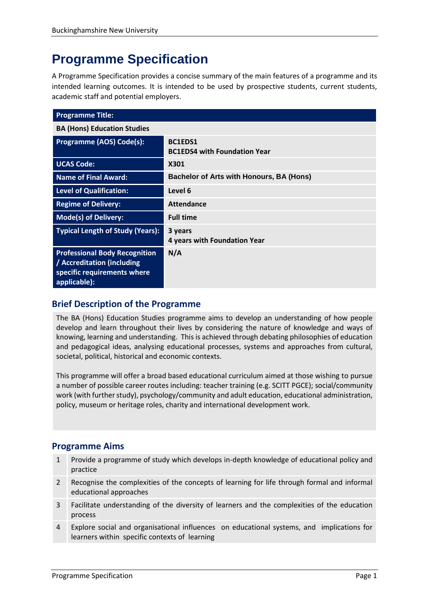# **Programme Specification**

A Programme Specification provides a concise summary of the main features of a programme and its intended learning outcomes. It is intended to be used by prospective students, current students, academic staff and potential employers.

| <b>Programme Title:</b>                                                                                           |                                                 |
|-------------------------------------------------------------------------------------------------------------------|-------------------------------------------------|
| <b>BA (Hons) Education Studies</b>                                                                                |                                                 |
| Programme (AOS) Code(s):                                                                                          | BC1EDS1<br><b>BC1EDS4 with Foundation Year</b>  |
| <b>UCAS Code:</b>                                                                                                 | X301                                            |
| <b>Name of Final Award:</b>                                                                                       | <b>Bachelor of Arts with Honours, BA (Hons)</b> |
| <b>Level of Qualification:</b>                                                                                    | Level 6                                         |
| <b>Regime of Delivery:</b>                                                                                        | Attendance                                      |
| <b>Mode(s) of Delivery:</b>                                                                                       | <b>Full time</b>                                |
| <b>Typical Length of Study (Years):</b>                                                                           | 3 years<br>4 years with Foundation Year         |
| <b>Professional Body Recognition</b><br>/ Accreditation (including<br>specific requirements where<br>applicable): | N/A                                             |

## **Brief Description of the Programme**

The BA (Hons) Education Studies programme aims to develop an understanding of how people develop and learn throughout their lives by considering the nature of knowledge and ways of knowing, learning and understanding. This is achieved through debating philosophies of education and pedagogical ideas, analysing educational processes, systems and approaches from cultural, societal, political, historical and economic contexts.

This programme will offer a broad based educational curriculum aimed at those wishing to pursue a number of possible career routes including: teacher training (e.g. SCITT PGCE); social/community work (with further study), psychology/community and adult education, educational administration, policy, museum or heritage roles, charity and international development work.

## **Programme Aims**

- 1 Provide a programme of study which develops in-depth knowledge of educational policy and practice
- 2 Recognise the complexities of the concepts of learning for life through formal and informal educational approaches
- 3 Facilitate understanding of the diversity of learners and the complexities of the education process
- 4 Explore social and organisational influences on educational systems, and implications for learners within specific contexts of learning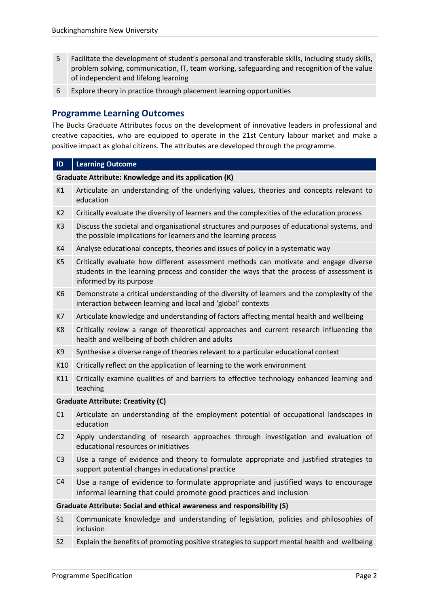- 5 Facilitate the development of student's personal and transferable skills, including study skills, problem solving, communication, IT, team working, safeguarding and recognition of the value of independent and lifelong learning
- 6 Explore theory in practice through placement learning opportunities

### **Programme Learning Outcomes**

The Bucks Graduate Attributes focus on the development of innovative leaders in professional and creative capacities, who are equipped to operate in the 21st Century labour market and make a positive impact as global citizens. The attributes are developed through the programme.

## **ID Learning Outcome Graduate Attribute: Knowledge and its application (K)** K1 Articulate an understanding of the underlying values, theories and concepts relevant to education K2 Critically evaluate the diversity of learners and the complexities of the education process K3 Discuss the societal and organisational structures and purposes of educational systems, and the possible implications for learners and the learning process K4 Analyse educational concepts, theories and issues of policy in a systematic way K5 Critically evaluate how different assessment methods can motivate and engage diverse students in the learning process and consider the ways that the process of assessment is informed by its purpose K6 Demonstrate a critical understanding of the diversity of learners and the complexity of the interaction between learning and local and 'global' contexts K7 Articulate knowledge and understanding of factors affecting mental health and wellbeing K8 Critically review a range of theoretical approaches and current research influencing the health and wellbeing of both children and adults K9 Synthesise a diverse range of theories relevant to a particular educational context K10 Critically reflect on the application of learning to the work environment K11 Critically examine qualities of and barriers to effective technology enhanced learning and teaching **Graduate Attribute: Creativity (C)** C1 Articulate an understanding of the employment potential of occupational landscapes in education C2 Apply understanding of research approaches through investigation and evaluation of educational resources or initiatives C3 Use a range of evidence and theory to formulate appropriate and justified strategies to support potential changes in educational practice C4 Use a range of evidence to formulate appropriate and justified ways to encourage informal learning that could promote good practices and inclusion **Graduate Attribute: Social and ethical awareness and responsibility (S)** S1 Communicate knowledge and understanding of legislation, policies and philosophies of inclusion S2 Explain the benefits of promoting positive strategies to support mental health and wellbeing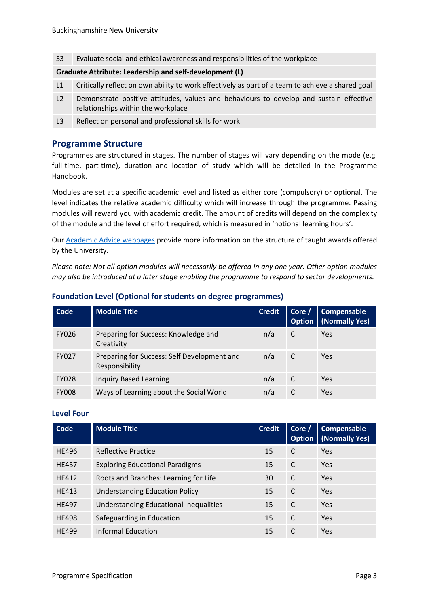S3 Evaluate social and ethical awareness and responsibilities of the workplace

#### **Graduate Attribute: Leadership and self-development (L)**

- L1 Critically reflect on own ability to work effectively as part of a team to achieve a shared goal
- L2 Demonstrate positive attitudes, values and behaviours to develop and sustain effective relationships within the workplace
- L3 Reflect on personal and professional skills for work

### **Programme Structure**

Programmes are structured in stages. The number of stages will vary depending on the mode (e.g. full-time, part-time), duration and location of study which will be detailed in the Programme Handbook.

Modules are set at a specific academic level and listed as either core (compulsory) or optional. The level indicates the relative academic difficulty which will increase through the programme. Passing modules will reward you with academic credit. The amount of credits will depend on the complexity of the module and the level of effort required, which is measured in 'notional learning hours'.

Our [Academic Advice webpages](https://bucks.ac.uk/students/academicadvice/course-structure-and-regulations/how-your-course-is-structured) provide more information on the structure of taught awards offered by the University.

*Please note: Not all option modules will necessarily be offered in any one year. Other option modules may also be introduced at a later stage enabling the programme to respond to sector developments.*

| Code         | <b>Module Title</b>                                           | <b>Credit</b> | Core $/$ | <b>Compensable</b><br><b>Option</b>   (Normally Yes) |
|--------------|---------------------------------------------------------------|---------------|----------|------------------------------------------------------|
| <b>FY026</b> | Preparing for Success: Knowledge and<br>Creativity            | n/a           | C        | Yes                                                  |
| <b>FY027</b> | Preparing for Success: Self Development and<br>Responsibility | n/a           | C        | <b>Yes</b>                                           |
| <b>FY028</b> | <b>Inquiry Based Learning</b>                                 | n/a           | C        | Yes                                                  |
| <b>FY008</b> | Ways of Learning about the Social World                       | n/a           |          | Yes                                                  |

#### **Foundation Level (Optional for students on degree programmes)**

#### **Level Four**

| Code         | <b>Module Title</b>                    | <b>Credit</b> | Core /<br>Option | Compensable<br>(Normally Yes) |
|--------------|----------------------------------------|---------------|------------------|-------------------------------|
| <b>HE496</b> | Reflective Practice                    | 15            | C                | Yes                           |
| <b>HE457</b> | <b>Exploring Educational Paradigms</b> | 15            | C                | Yes                           |
| <b>HF412</b> | Roots and Branches: Learning for Life  | 30            | C                | Yes                           |
| HE413        | <b>Understanding Education Policy</b>  | 15            | C                | Yes                           |
| HF497        | Understanding Educational Inequalities | 15            | C                | Yes                           |
| <b>HE498</b> | Safeguarding in Education              | 15            | C                | Yes                           |
| <b>HE499</b> | Informal Education                     | 15            | C                | Yes                           |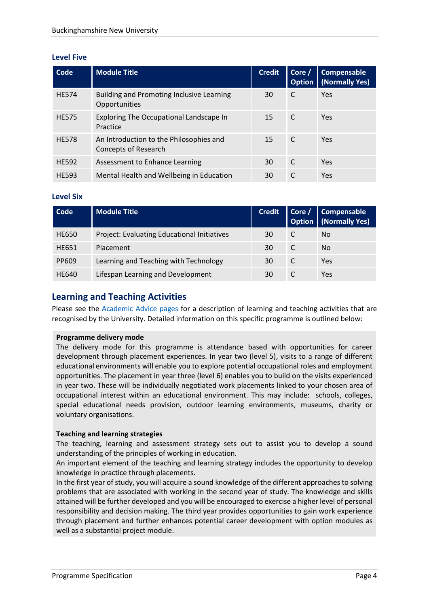#### **Level Five**

| Code         | <b>Module Title</b>                                             | <b>Credit</b> | Core /<br><b>Option</b> | Compensable<br>(Normally Yes) |
|--------------|-----------------------------------------------------------------|---------------|-------------------------|-------------------------------|
| <b>HE574</b> | Building and Promoting Inclusive Learning<br>Opportunities      | 30            | C                       | Yes                           |
| <b>HE575</b> | Exploring The Occupational Landscape In<br>Practice             | 15            | C                       | Yes                           |
| <b>HE578</b> | An Introduction to the Philosophies and<br>Concepts of Research | 15            | C                       | Yes                           |
| <b>HE592</b> | Assessment to Enhance Learning                                  | 30            | C                       | Yes                           |
| <b>HE593</b> | Mental Health and Wellbeing in Education                        | 30            | C                       | Yes                           |

#### **Level Six**

| Code         | <b>Module Title</b>                         | <b>Credit</b> | Core / Compensable<br><b>Option</b>   (Normally Yes) |
|--------------|---------------------------------------------|---------------|------------------------------------------------------|
| <b>HE650</b> | Project: Evaluating Educational Initiatives | 30            | No.                                                  |
| <b>HE651</b> | Placement                                   | 30            | No.                                                  |
| PP609        | Learning and Teaching with Technology       | 30            | Yes                                                  |
| <b>HE640</b> | Lifespan Learning and Development           | 30            | Yes.                                                 |

## **Learning and Teaching Activities**

Please see the [Academic Advice pages](https://bucks.ac.uk/students/academicadvice/course-structure-and-regulations/learning-and-teaching-activities) for a description of learning and teaching activities that are recognised by the University. Detailed information on this specific programme is outlined below:

#### **Programme delivery mode**

The delivery mode for this programme is attendance based with opportunities for career development through placement experiences. In year two (level 5), visits to a range of different educational environments will enable you to explore potential occupational roles and employment opportunities. The placement in year three (level 6) enables you to build on the visits experienced in year two. These will be individually negotiated work placements linked to your chosen area of occupational interest within an educational environment. This may include: schools, colleges, special educational needs provision, outdoor learning environments, museums, charity or voluntary organisations.

#### **Teaching and learning strategies**

The teaching, learning and assessment strategy sets out to assist you to develop a sound understanding of the principles of working in education.

An important element of the teaching and learning strategy includes the opportunity to develop knowledge in practice through placements.

In the first year of study, you will acquire a sound knowledge of the different approaches to solving problems that are associated with working in the second year of study. The knowledge and skills attained will be further developed and you will be encouraged to exercise a higher level of personal responsibility and decision making. The third year provides opportunities to gain work experience through placement and further enhances potential career development with option modules as well as a substantial project module.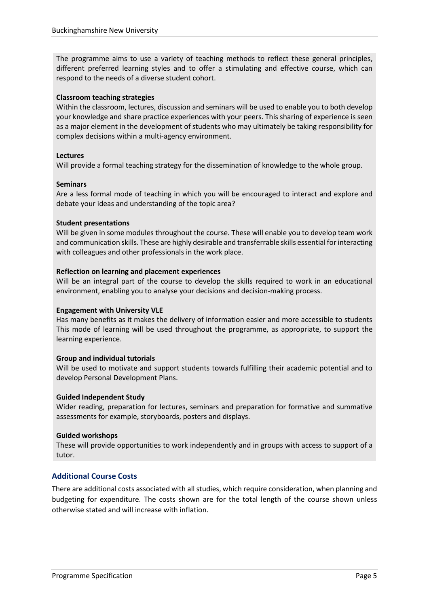The programme aims to use a variety of teaching methods to reflect these general principles, different preferred learning styles and to offer a stimulating and effective course, which can respond to the needs of a diverse student cohort.

#### **Classroom teaching strategies**

Within the classroom, lectures, discussion and seminars will be used to enable you to both develop your knowledge and share practice experiences with your peers. This sharing of experience is seen as a major element in the development of students who may ultimately be taking responsibility for complex decisions within a multi-agency environment.

#### **Lectures**

Will provide a formal teaching strategy for the dissemination of knowledge to the whole group.

#### **Seminars**

Are a less formal mode of teaching in which you will be encouraged to interact and explore and debate your ideas and understanding of the topic area?

#### **Student presentations**

Will be given in some modules throughout the course. These will enable you to develop team work and communication skills. These are highly desirable and transferrable skills essential for interacting with colleagues and other professionals in the work place.

#### **Reflection on learning and placement experiences**

Will be an integral part of the course to develop the skills required to work in an educational environment, enabling you to analyse your decisions and decision-making process.

#### **Engagement with University VLE**

Has many benefits as it makes the delivery of information easier and more accessible to students This mode of learning will be used throughout the programme, as appropriate, to support the learning experience.

#### **Group and individual tutorials**

Will be used to motivate and support students towards fulfilling their academic potential and to develop Personal Development Plans.

#### **Guided Independent Study**

Wider reading, preparation for lectures, seminars and preparation for formative and summative assessments for example, storyboards, posters and displays.

#### **Guided workshops**

These will provide opportunities to work independently and in groups with access to support of a tutor.

#### **Additional Course Costs**

There are additional costs associated with all studies, which require consideration, when planning and budgeting for expenditure. The costs shown are for the total length of the course shown unless otherwise stated and will increase with inflation.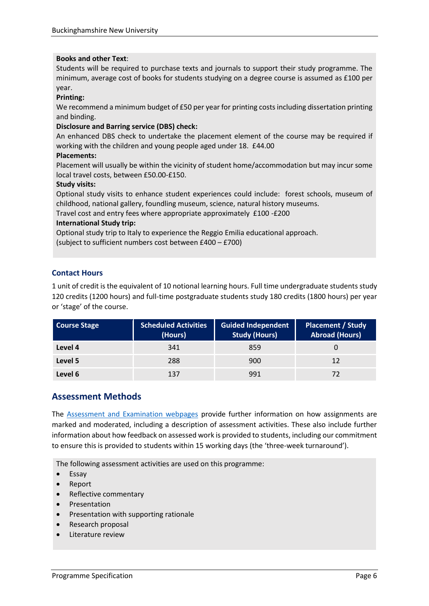#### **Books and other Text**:

Students will be required to purchase texts and journals to support their study programme. The minimum, average cost of books for students studying on a degree course is assumed as £100 per year.

#### **Printing:**

We recommend a minimum budget of £50 per year for printing costs including dissertation printing and binding.

#### **Disclosure and Barring service (DBS) check:**

An enhanced DBS check to undertake the placement element of the course may be required if working with the children and young people aged under 18. £44.00

#### **Placements:**

Placement will usually be within the vicinity of student home/accommodation but may incur some local travel costs, between £50.00-£150.

#### **Study visits:**

Optional study visits to enhance student experiences could include: forest schools, museum of childhood, national gallery, foundling museum, science, natural history museums.

Travel cost and entry fees where appropriate approximately £100 -£200

#### **International Study trip:**

Optional study trip to Italy to experience the Reggio Emilia educational approach.

(subject to sufficient numbers cost between £400 – £700)

#### **Contact Hours**

1 unit of credit is the equivalent of 10 notional learning hours. Full time undergraduate students study 120 credits (1200 hours) and full-time postgraduate students study 180 credits (1800 hours) per year or 'stage' of the course.

| <b>Course Stage</b> | <b>Scheduled Activities</b><br>(Hours) | <b>Guided Independent</b><br><b>Study (Hours)</b> | <b>Placement / Study</b><br><b>Abroad (Hours)</b> |
|---------------------|----------------------------------------|---------------------------------------------------|---------------------------------------------------|
| Level 4             | 341                                    | 859                                               |                                                   |
| Level 5             | 288                                    | 900                                               | 12                                                |
| Level 6             | 137                                    | 991                                               |                                                   |

## **Assessment Methods**

The [Assessment and Examination webpages](https://bucks.ac.uk/students/academicadvice/assessment-and-examination) provide further information on how assignments are marked and moderated, including a description of assessment activities. These also include further information about how feedback on assessed work is provided to students, including our commitment to ensure this is provided to students within 15 working days (the 'three-week turnaround').

The following assessment activities are used on this programme:

- Essay
- Report
- Reflective commentary
- Presentation
- Presentation with supporting rationale
- Research proposal
- Literature review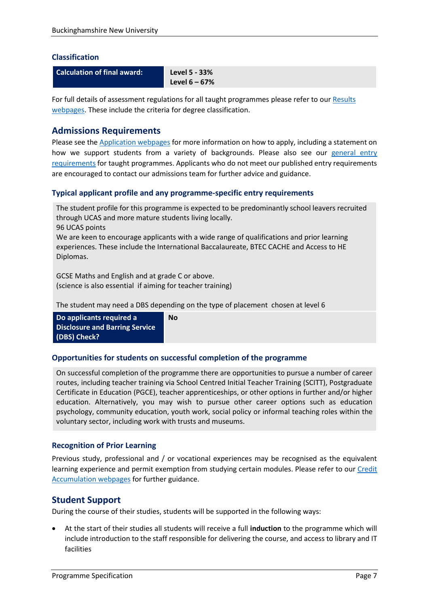#### **Classification**

**Calculation of final award: Level 5 - 33%** 

**Level 6 – 67%**

For full details of assessment regulations for all taught programmes please refer to our [Results](https://bucks.ac.uk/students/academicadvice/results)  [webpages.](https://bucks.ac.uk/students/academicadvice/results) These include the criteria for degree classification.

## **Admissions Requirements**

Please see the [Application webpages](https://bucks.ac.uk/applying-to-bucks) for more information on how to apply, including a statement on how we support students from a variety of backgrounds. Please also see our general entry [requirements](https://bucks.ac.uk/applying-to-bucks/general-entry-requirements) for taught programmes. Applicants who do not meet our published entry requirements are encouraged to contact our admissions team for further advice and guidance.

#### **Typical applicant profile and any programme-specific entry requirements**

The student profile for this programme is expected to be predominantly school leavers recruited through UCAS and more mature students living locally.

96 UCAS points

We are keen to encourage applicants with a wide range of qualifications and prior learning experiences. These include the International Baccalaureate, BTEC CACHE and Access to HE Diplomas.

GCSE Maths and English and at grade C or above. (science is also essential if aiming for teacher training)

The student may need a DBS depending on the type of placement chosen at level 6

**Do applicants required a Disclosure and Barring Service (DBS) Check?**

#### **Opportunities for students on successful completion of the programme**

**No**

On successful completion of the programme there are opportunities to pursue a number of career routes, including teacher training via School Centred Initial Teacher Training (SCITT), Postgraduate Certificate in Education (PGCE), teacher apprenticeships, or other options in further and/or higher education. Alternatively, you may wish to pursue other career options such as education psychology, community education, youth work, social policy or informal teaching roles within the voluntary sector, including work with trusts and museums.

#### **Recognition of Prior Learning**

Previous study, professional and / or vocational experiences may be recognised as the equivalent learning experience and permit exemption from studying certain modules. Please refer to our [Credit](https://bucks.ac.uk/students/academicadvice/managing-your-studies/credit-accumulation)  [Accumulation webpages](https://bucks.ac.uk/students/academicadvice/managing-your-studies/credit-accumulation) for further guidance.

## **Student Support**

During the course of their studies, students will be supported in the following ways:

 At the start of their studies all students will receive a full **induction** to the programme which will include introduction to the staff responsible for delivering the course, and access to library and IT facilities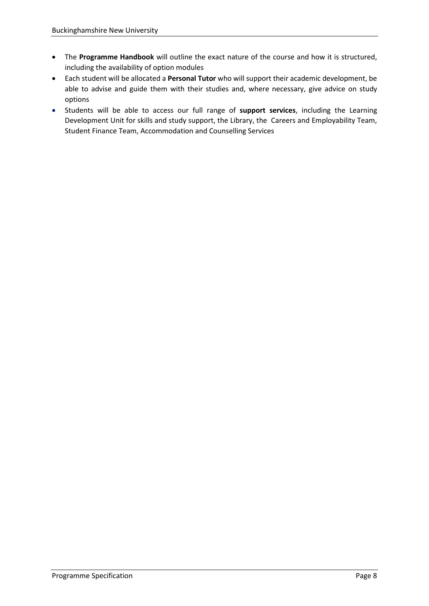- The **Programme Handbook** will outline the exact nature of the course and how it is structured, including the availability of option modules
- Each student will be allocated a **Personal Tutor** who will support their academic development, be able to advise and guide them with their studies and, where necessary, give advice on study options
- Students will be able to access our full range of **support services**, including the Learning Development Unit for skills and study support, the Library, the Careers and Employability Team, Student Finance Team, Accommodation and Counselling Services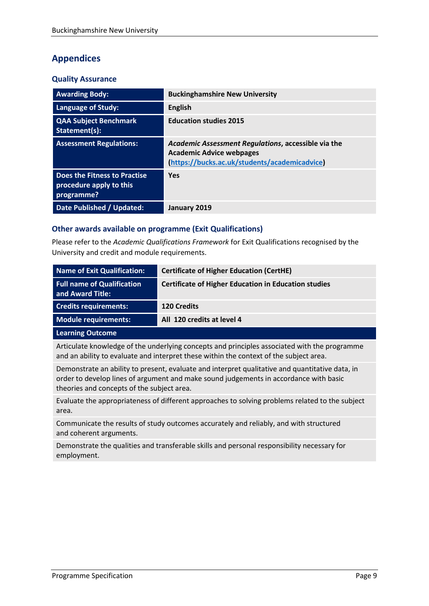## **Appendices**

#### **Quality Assurance**

| <b>Awarding Body:</b>                                                 | <b>Buckinghamshire New University</b>                                                                                                   |
|-----------------------------------------------------------------------|-----------------------------------------------------------------------------------------------------------------------------------------|
| <b>Language of Study:</b>                                             | <b>English</b>                                                                                                                          |
| <b>QAA Subject Benchmark</b><br>Statement(s):                         | <b>Education studies 2015</b>                                                                                                           |
| <b>Assessment Regulations:</b>                                        | Academic Assessment Regulations, accessible via the<br><b>Academic Advice webpages</b><br>(https://bucks.ac.uk/students/academicadvice) |
| Does the Fitness to Practise<br>procedure apply to this<br>programme? | <b>Yes</b>                                                                                                                              |
| <b>Date Published / Updated:</b>                                      | January 2019                                                                                                                            |

#### **Other awards available on programme (Exit Qualifications)**

Please refer to the *Academic Qualifications Framework* for Exit Qualifications recognised by the University and credit and module requirements.

| Name of Exit Qualification:                           | <b>Certificate of Higher Education (CertHE)</b>             |
|-------------------------------------------------------|-------------------------------------------------------------|
| <b>Full name of Qualification</b><br>and Award Title: | <b>Certificate of Higher Education in Education studies</b> |
| <b>Credits requirements:</b>                          | <b>120 Credits</b>                                          |
| Module requirements:                                  | All 120 credits at level 4                                  |
| <b>Learning Outcome</b>                               |                                                             |

Articulate knowledge of the underlying concepts and principles associated with the programme and an ability to evaluate and interpret these within the context of the subject area.

Demonstrate an ability to present, evaluate and interpret qualitative and quantitative data, in order to develop lines of argument and make sound judgements in accordance with basic theories and concepts of the subject area.

Evaluate the appropriateness of different approaches to solving problems related to the subject area.

Communicate the results of study outcomes accurately and reliably, and with structured and coherent arguments.

Demonstrate the qualities and transferable skills and personal responsibility necessary for employment.